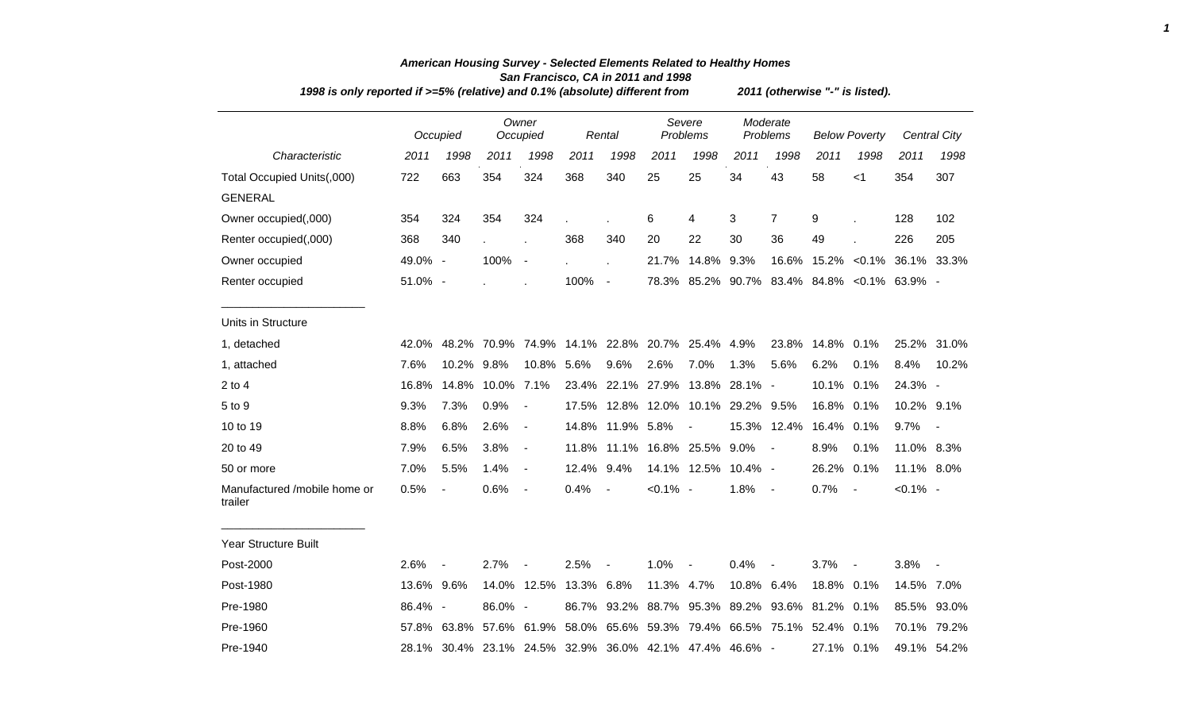| 1998 is only reported if >=5% (relative) and 0.1% (absolute) different from | 2011 (otherwise "-" is listed). |             |            |                          |       |                |             |                                                         |                      |                        |                      |              |                                              |                          |
|-----------------------------------------------------------------------------|---------------------------------|-------------|------------|--------------------------|-------|----------------|-------------|---------------------------------------------------------|----------------------|------------------------|----------------------|--------------|----------------------------------------------|--------------------------|
|                                                                             |                                 | Occupied    |            | Owner<br>Occupied        |       | Rental         |             | Severe<br>Problems                                      | Moderate<br>Problems |                        | <b>Below Poverty</b> |              |                                              | Central City             |
| Characteristic                                                              | 2011                            | 1998        | 2011       | 1998                     | 2011  | 1998           | 2011        | 1998                                                    | 2011                 | 1998                   | 2011                 | 1998         | 2011                                         | 1998                     |
| Total Occupied Units(,000)                                                  | 722                             | 663         | 354        | 324                      | 368   | 340            | 25          | 25                                                      | 34                   | 43                     | 58                   | $<$ 1        | 354                                          | 307                      |
| <b>GENERAL</b>                                                              |                                 |             |            |                          |       |                |             |                                                         |                      |                        |                      |              |                                              |                          |
| Owner occupied(,000)                                                        | 354                             | 324         | 354        | 324                      |       |                | 6           | 4                                                       | 3                    | $\overline{7}$         | 9                    |              | 128                                          | 102                      |
| Renter occupied(,000)                                                       | 368                             | 340         |            |                          | 368   | 340            | 20          | 22                                                      | 30                   | 36                     | 49                   |              | 226                                          | 205                      |
| Owner occupied                                                              | 49.0% -                         |             | 100%       | $\blacksquare$           |       | $\overline{a}$ | 21.7%       | 14.8%                                                   | 9.3%                 | 16.6%                  |                      | 15.2% < 0.1% |                                              | 36.1% 33.3%              |
| Renter occupied                                                             | 51.0% -                         |             |            |                          | 100%  | $\sim$         |             |                                                         |                      |                        |                      |              | 78.3% 85.2% 90.7% 83.4% 84.8% < 0.1% 63.9% - |                          |
| Units in Structure                                                          |                                 |             |            |                          |       |                |             |                                                         |                      |                        |                      |              |                                              |                          |
| 1, detached                                                                 | 42.0%                           |             |            |                          |       |                |             | 48.2% 70.9% 74.9% 14.1% 22.8% 20.7% 25.4% 4.9%          |                      | 23.8%                  | 14.8%                | 0.1%         |                                              | 25.2% 31.0%              |
| 1, attached                                                                 | 7.6%                            | 10.2%       | 9.8%       | 10.8%                    | 5.6%  | 9.6%           | 2.6%        | 7.0%                                                    | 1.3%                 | 5.6%                   | 6.2%                 | 0.1%         | 8.4%                                         | 10.2%                    |
| $2$ to $4$                                                                  | 16.8%                           | 14.8%       | 10.0% 7.1% |                          | 23.4% |                | 22.1% 27.9% |                                                         | 13.8% 28.1% -        |                        | 10.1%                | 0.1%         | 24.3% -                                      |                          |
| 5 to 9                                                                      | 9.3%                            | 7.3%        | 0.9%       | $\blacksquare$           | 17.5% |                | 12.8% 12.0% |                                                         | 10.1% 29.2% 9.5%     |                        | 16.8%                | 0.1%         | 10.2% 9.1%                                   |                          |
| 10 to 19                                                                    | 8.8%                            | 6.8%        | 2.6%       | $\blacksquare$           | 14.8% | 11.9% 5.8%     |             | $\blacksquare$                                          |                      | 15.3% 12.4%            | 16.4%                | 0.1%         | 9.7%                                         | $\overline{\phantom{a}}$ |
| 20 to 49                                                                    | 7.9%                            | 6.5%        | 3.8%       | $\overline{\phantom{a}}$ | 11.8% |                |             | 11.1% 16.8% 25.5%                                       | 9.0%                 | $\sim$                 | 8.9%                 | 0.1%         | 11.0% 8.3%                                   |                          |
| 50 or more                                                                  | 7.0%                            | 5.5%        | 1.4%       | $\blacksquare$           | 12.4% | 9.4%           |             | 14.1% 12.5%                                             | 10.4% -              |                        | 26.2%                | 0.1%         | 11.1% 8.0%                                   |                          |
| Manufactured /mobile home or<br>trailer                                     | 0.5%                            |             | 0.6%       | $\overline{\phantom{a}}$ | 0.4%  | $\sim$         | $< 0.1\%$ - |                                                         | 1.8%                 | $\overline{a}$         | 0.7%                 |              | $< 0.1\%$ -                                  |                          |
| <b>Year Structure Built</b>                                                 |                                 |             |            |                          |       |                |             |                                                         |                      |                        |                      |              |                                              |                          |
| Post-2000                                                                   | 2.6%                            |             | 2.7%       |                          | 2.5%  |                | 1.0%        |                                                         | 0.4%                 |                        | 3.7%                 |              | 3.8%                                         |                          |
| Post-1980                                                                   | 13.6% 9.6%                      |             | 14.0%      | 12.5%                    | 13.3% | 6.8%           | 11.3% 4.7%  |                                                         | 10.8% 6.4%           |                        | 18.8%                | 0.1%         | 14.5% 7.0%                                   |                          |
| Pre-1980                                                                    | 86.4% -                         |             | 86.0% -    |                          | 86.7% | 93.2%          |             | 88.7% 95.3%                                             |                      | 89.2% 93.6% 81.2% 0.1% |                      |              |                                              | 85.5% 93.0%              |
| Pre-1960                                                                    |                                 | 57.8% 63.8% | 57.6%      | 61.9%                    | 58.0% |                |             | 65.6% 59.3% 79.4% 66.5% 75.1% 52.4% 0.1%                |                      |                        |                      |              |                                              | 70.1% 79.2%              |
| Pre-1940                                                                    |                                 |             |            |                          |       |                |             | 28.1% 30.4% 23.1% 24.5% 32.9% 36.0% 42.1% 47.4% 46.6% - |                      |                        | 27.1% 0.1%           |              |                                              | 49.1% 54.2%              |

## *American Housing Survey - Selected Elements Related to Healthy Homes San Francisco, CA in 2011 and 1998*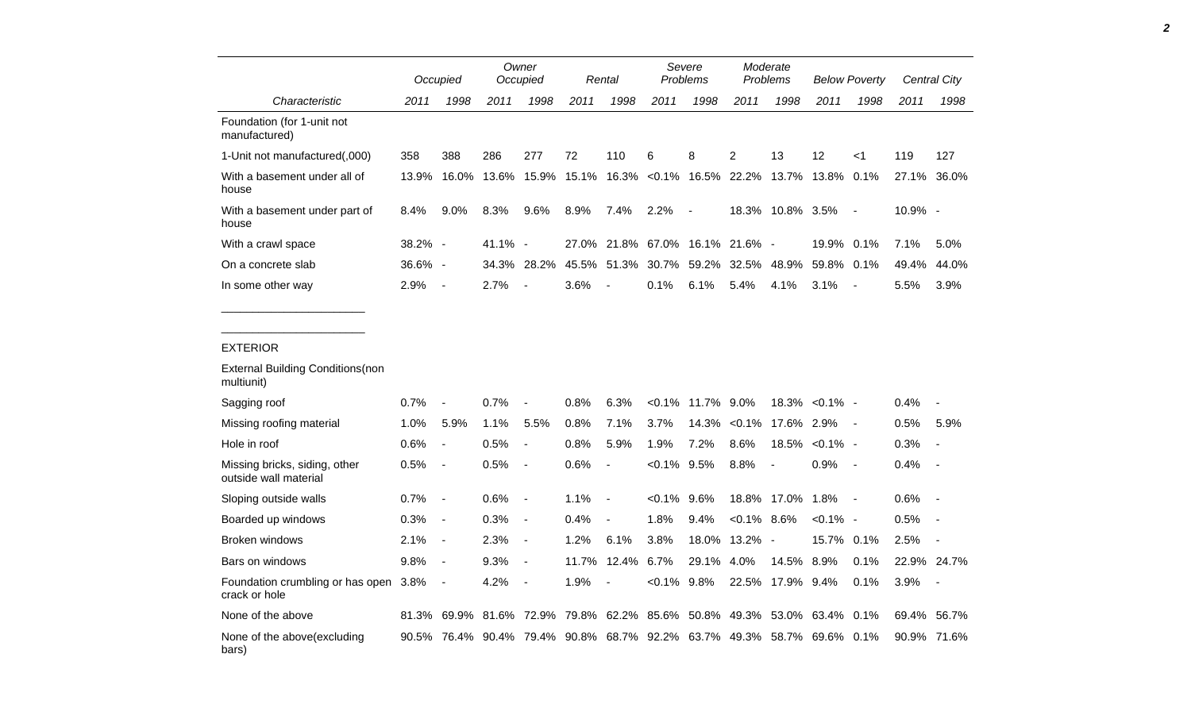|                                                        |         | Occupied                                                               |             | Owner<br>Occupied        |       | Rental                   |                                 | Severe<br><b>Problems</b> |                | Moderate<br>Problems         |             | <b>Below Poverty</b>     |             | Central City             |  |
|--------------------------------------------------------|---------|------------------------------------------------------------------------|-------------|--------------------------|-------|--------------------------|---------------------------------|---------------------------|----------------|------------------------------|-------------|--------------------------|-------------|--------------------------|--|
| Characteristic                                         | 2011    | 1998                                                                   | 2011        | 1998                     | 2011  | 1998                     | 2011                            | 1998                      | 2011           | 1998                         | 2011        | 1998                     | 2011        | 1998                     |  |
| Foundation (for 1-unit not<br>manufactured)            |         |                                                                        |             |                          |       |                          |                                 |                           |                |                              |             |                          |             |                          |  |
| 1-Unit not manufactured(,000)                          | 358     | 388                                                                    | 286         | 277                      | 72    | 110                      | 6                               | 8                         | $\overline{2}$ | 13                           | 12          | $<$ 1                    | 119         | 127                      |  |
| With a basement under all of<br>house                  | 13.9%   | 16.0%                                                                  | 13.6%       | 15.9%                    | 15.1% |                          | 16.3% < 0.1% 16.5% 22.2% 13.7%  |                           |                |                              | 13.8%       | 0.1%                     | 27.1% 36.0% |                          |  |
| With a basement under part of<br>house                 | 8.4%    | 9.0%                                                                   | 8.3%        | 9.6%                     | 8.9%  | 7.4%                     | 2.2%                            | $\overline{\phantom{a}}$  |                | 18.3% 10.8% 3.5%             |             | $\overline{\phantom{a}}$ | 10.9% -     |                          |  |
| With a crawl space                                     | 38.2% - |                                                                        | 41.1% -     |                          |       |                          | 27.0% 21.8% 67.0% 16.1% 21.6% - |                           |                |                              | 19.9% 0.1%  |                          | 7.1%        | 5.0%                     |  |
| On a concrete slab                                     | 36.6% - |                                                                        |             | 34.3% 28.2%              | 45.5% | 51.3%                    | 30.7%                           |                           | 59.2% 32.5%    | 48.9%                        | 59.8% 0.1%  |                          | 49.4%       | 44.0%                    |  |
| In some other way                                      | 2.9%    | $\sim$                                                                 | 2.7%        |                          | 3.6%  |                          | 0.1%                            | 6.1%                      | 5.4%           | 4.1%                         | 3.1%        | $\overline{\phantom{a}}$ | 5.5%        | 3.9%                     |  |
| multiunit)                                             |         |                                                                        |             |                          |       |                          |                                 |                           |                |                              |             |                          |             |                          |  |
| <b>External Building Conditions (non</b>               |         |                                                                        |             |                          |       |                          |                                 |                           |                |                              |             |                          |             |                          |  |
| Sagging roof                                           | 0.7%    | $\blacksquare$                                                         | 0.7%        | $\blacksquare$           | 0.8%  | 6.3%                     | $< 0.1\%$                       | 11.7% 9.0%                |                | 18.3%                        | $< 0.1\%$ - |                          | 0.4%        |                          |  |
| Missing roofing material                               | 1.0%    | 5.9%                                                                   | 1.1%        | 5.5%                     | 0.8%  | 7.1%                     | 3.7%                            | 14.3%                     | $< 0.1\%$      | 17.6% 2.9%                   |             | $\sim$                   | 0.5%        | 5.9%                     |  |
| Hole in roof                                           | 0.6%    | $\overline{\phantom{a}}$                                               | 0.5%        | $\overline{a}$           | 0.8%  | 5.9%                     | 1.9%                            | 7.2%                      | 8.6%           | 18.5%                        | $< 0.1\%$ - |                          | 0.3%        |                          |  |
| Missing bricks, siding, other<br>outside wall material | 0.5%    | $\overline{\phantom{a}}$                                               | 0.5%        | $\overline{\phantom{a}}$ | 0.6%  | $\overline{\phantom{a}}$ | <0.1%                           | 9.5%                      | 8.8%           | $\blacksquare$               | 0.9%        | $\sim$                   | 0.4%        | $\overline{\phantom{a}}$ |  |
| Sloping outside walls                                  | 0.7%    | $\overline{\phantom{a}}$                                               | 0.6%        | $\overline{\phantom{a}}$ | 1.1%  | $\overline{\phantom{a}}$ | $< 0.1\%$                       | 9.6%                      |                | 18.8% 17.0%                  | 1.8%        | $\sim$                   | 0.6%        | $\overline{\phantom{a}}$ |  |
| Boarded up windows                                     | 0.3%    | $\overline{\phantom{a}}$                                               | 0.3%        | $\overline{\phantom{a}}$ | 0.4%  |                          | 1.8%                            | 9.4%                      | $< 0.1\%$ 8.6% |                              | $< 0.1\%$ - |                          | 0.5%        |                          |  |
| Broken windows                                         | 2.1%    | $\overline{\phantom{a}}$                                               | 2.3%        | $\overline{\phantom{a}}$ | 1.2%  | 6.1%                     | 3.8%                            | 18.0%                     | 13.2% -        |                              | 15.7% 0.1%  |                          | 2.5%        | $\overline{\phantom{a}}$ |  |
| Bars on windows                                        | 9.8%    | $\sim$                                                                 | 9.3%        | $\overline{\phantom{a}}$ | 11.7% | 12.4%                    | 6.7%                            | 29.1% 4.0%                |                | 14.5%                        | 8.9%        | 0.1%                     | 22.9% 24.7% |                          |  |
| Foundation crumbling or has open 3.8%<br>crack or hole |         | $\overline{\phantom{a}}$                                               | 4.2%        | $\overline{a}$           | 1.9%  |                          | $< 0.1\%$ 9.8%                  |                           |                | 22.5% 17.9% 9.4%             |             | 0.1%                     | 3.9%        |                          |  |
| None of the above                                      |         | 81.3% 69.9%                                                            | 81.6% 72.9% |                          |       | 79.8% 62.2%              | 85.6%                           |                           |                | 50.8% 49.3% 53.0% 63.4% 0.1% |             |                          | 69.4%       | 56.7%                    |  |
| None of the above (excluding<br>bars)                  |         | 90.5% 76.4% 90.4% 79.4% 90.8% 68.7% 92.2% 63.7% 49.3% 58.7% 69.6% 0.1% |             |                          |       |                          |                                 |                           |                |                              |             |                          | 90.9% 71.6% |                          |  |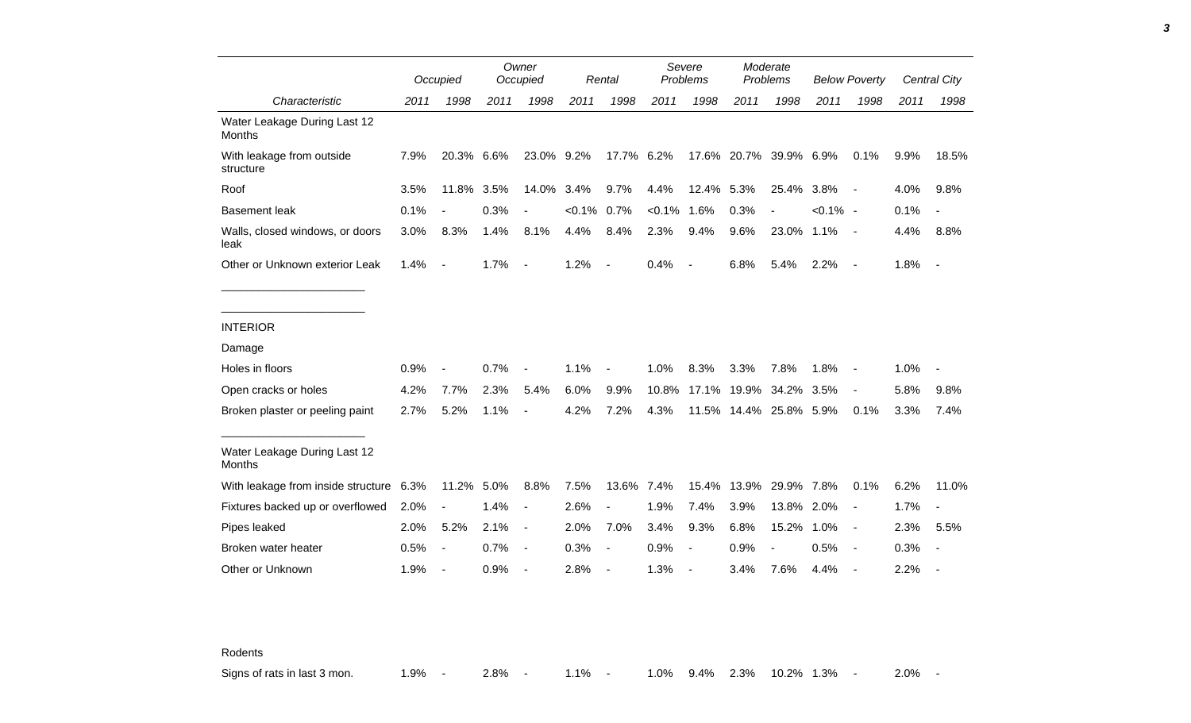|                                               |      | Occupied                 |      | Owner<br>Occupied        |           | Rental                   |           | Severe<br>Problems       |                        | Moderate<br>Problems |             | <b>Below Poverty</b>     |      | Central City             |
|-----------------------------------------------|------|--------------------------|------|--------------------------|-----------|--------------------------|-----------|--------------------------|------------------------|----------------------|-------------|--------------------------|------|--------------------------|
| Characteristic                                | 2011 | 1998                     | 2011 | 1998                     | 2011      | 1998                     | 2011      | 1998                     | 2011                   | 1998                 | 2011        | 1998                     | 2011 | 1998                     |
| Water Leakage During Last 12<br><b>Months</b> |      |                          |      |                          |           |                          |           |                          |                        |                      |             |                          |      |                          |
| With leakage from outside<br>structure        | 7.9% | 20.3% 6.6%               |      | 23.0% 9.2%               |           | 17.7%                    | 6.2%      |                          | 17.6% 20.7%            | 39.9% 6.9%           |             | 0.1%                     | 9.9% | 18.5%                    |
| Roof                                          | 3.5% | 11.8%                    | 3.5% | 14.0%                    | 3.4%      | 9.7%                     | 4.4%      | 12.4% 5.3%               |                        | 25.4%                | 3.8%        | $\blacksquare$           | 4.0% | 9.8%                     |
| <b>Basement leak</b>                          | 0.1% | $\blacksquare$           | 0.3% | $\overline{\phantom{a}}$ | $< 0.1\%$ | 0.7%                     | $< 0.1\%$ | 1.6%                     | 0.3%                   |                      | $< 0.1\%$ - |                          | 0.1% | $\overline{\phantom{a}}$ |
| Walls, closed windows, or doors<br>leak       | 3.0% | 8.3%                     | 1.4% | 8.1%                     | 4.4%      | 8.4%                     | 2.3%      | 9.4%                     | 9.6%                   | 23.0%                | 1.1%        | $\sim$                   | 4.4% | 8.8%                     |
| Other or Unknown exterior Leak                | 1.4% | $\sim$                   | 1.7% | $\blacksquare$           | 1.2%      | $\overline{\phantom{a}}$ | 0.4%      | $\overline{\phantom{a}}$ | 6.8%                   | 5.4%                 | 2.2%        | $\overline{\phantom{a}}$ | 1.8% | $\sim$ $-$               |
|                                               |      |                          |      |                          |           |                          |           |                          |                        |                      |             |                          |      |                          |
| <b>INTERIOR</b>                               |      |                          |      |                          |           |                          |           |                          |                        |                      |             |                          |      |                          |
| Damage                                        |      |                          |      |                          |           |                          |           |                          |                        |                      |             |                          |      |                          |
| Holes in floors                               | 0.9% | $\overline{\phantom{a}}$ | 0.7% | $\overline{\phantom{a}}$ | 1.1%      | $\overline{\phantom{a}}$ | 1.0%      | 8.3%                     | 3.3%                   | 7.8%                 | 1.8%        | $\overline{\phantom{a}}$ | 1.0% | $\overline{\phantom{a}}$ |
| Open cracks or holes                          | 4.2% | 7.7%                     | 2.3% | 5.4%                     | 6.0%      | 9.9%                     | 10.8%     |                          | 17.1% 19.9%            | 34.2%                | 3.5%        | $\overline{\phantom{a}}$ | 5.8% | 9.8%                     |
| Broken plaster or peeling paint               | 2.7% | 5.2%                     | 1.1% | $\overline{\phantom{a}}$ | 4.2%      | 7.2%                     | 4.3%      |                          | 11.5% 14.4% 25.8% 5.9% |                      |             | 0.1%                     | 3.3% | 7.4%                     |
| Water Leakage During Last 12<br><b>Months</b> |      |                          |      |                          |           |                          |           |                          |                        |                      |             |                          |      |                          |
| With leakage from inside structure 6.3%       |      | 11.2%                    | 5.0% | 8.8%                     | 7.5%      | 13.6%                    | 7.4%      | 15.4%                    | 13.9%                  | 29.9% 7.8%           |             | 0.1%                     | 6.2% | 11.0%                    |
| Fixtures backed up or overflowed              | 2.0% |                          | 1.4% | $\overline{a}$           | 2.6%      | $\overline{a}$           | 1.9%      | 7.4%                     | 3.9%                   | 13.8%                | 2.0%        |                          | 1.7% | $\overline{\phantom{a}}$ |
| Pipes leaked                                  | 2.0% | 5.2%                     | 2.1% | $\blacksquare$           | 2.0%      | 7.0%                     | 3.4%      | 9.3%                     | 6.8%                   | 15.2%                | 1.0%        | $\overline{\phantom{a}}$ | 2.3% | 5.5%                     |
| Broken water heater                           | 0.5% | $\blacksquare$           | 0.7% | $\blacksquare$           | 0.3%      | $\overline{\phantom{a}}$ | 0.9%      | $\blacksquare$           | 0.9%                   | $\blacksquare$       | 0.5%        | $\blacksquare$           | 0.3% | $\overline{\phantom{a}}$ |
| Other or Unknown                              | 1.9% | $\blacksquare$           | 0.9% | $\overline{\phantom{a}}$ | 2.8%      | $\overline{a}$           | 1.3%      |                          | 3.4%                   | 7.6%                 | 4.4%        |                          | 2.2% |                          |

Rodents

Signs of rats in last 3 mon. 1.9% - 2.8% - 1.1% - 1.0% 9.4% 2.3% 10.2% 1.3% - 2.0% -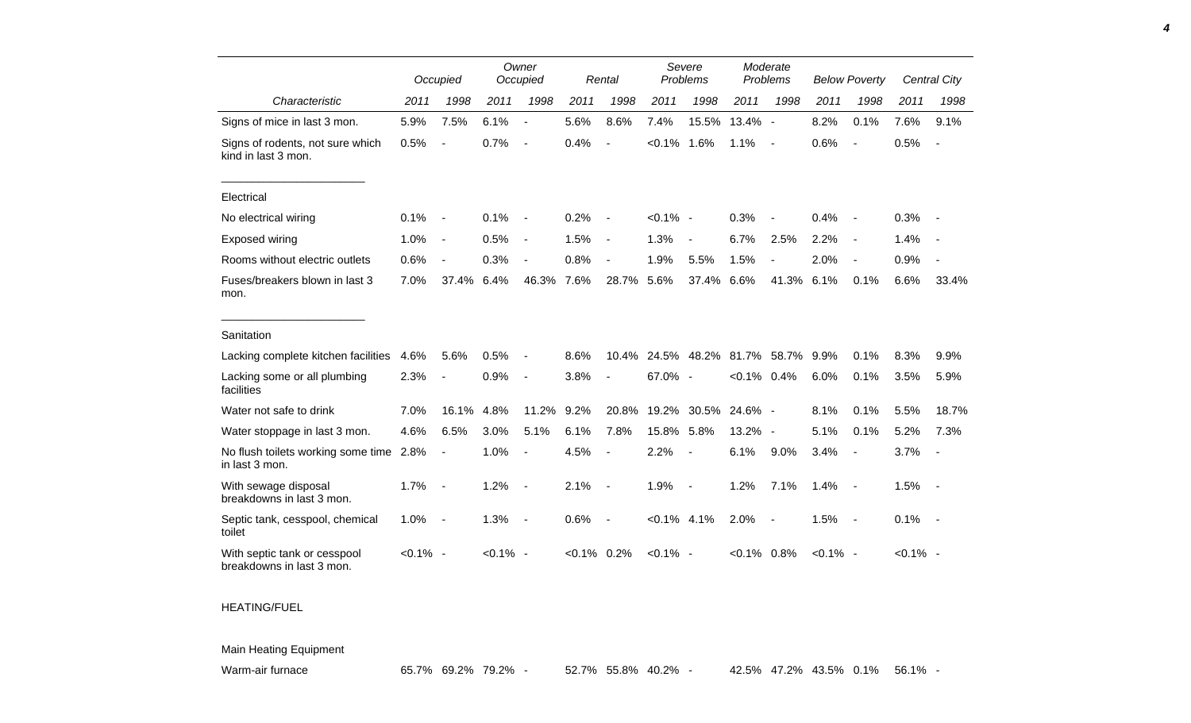|                                                           |             | Occupied                 |             | Owner<br>Occupied        |           | Rental         |                | Severe<br>Problems       |                | Moderate<br>Problems     |             | <b>Below Poverty</b>     |             | Central City   |
|-----------------------------------------------------------|-------------|--------------------------|-------------|--------------------------|-----------|----------------|----------------|--------------------------|----------------|--------------------------|-------------|--------------------------|-------------|----------------|
| Characteristic                                            | 2011        | 1998                     | 2011        | 1998                     | 2011      | 1998           | 2011           | 1998                     | 2011           | 1998                     | 2011        | 1998                     | 2011        | 1998           |
| Signs of mice in last 3 mon.                              | 5.9%        | 7.5%                     | 6.1%        | $\overline{\phantom{a}}$ | 5.6%      | 8.6%           | 7.4%           | 15.5%                    | 13.4% -        |                          | 8.2%        | 0.1%                     | 7.6%        | 9.1%           |
| Signs of rodents, not sure which<br>kind in last 3 mon.   | 0.5%        |                          | 0.7%        | $\overline{\phantom{a}}$ | 0.4%      |                | $< 0.1\%$      | 1.6%                     | 1.1%           | $\blacksquare$           | 0.6%        | $\overline{\phantom{a}}$ | 0.5%        | $\blacksquare$ |
| Electrical                                                |             |                          |             |                          |           |                |                |                          |                |                          |             |                          |             |                |
| No electrical wiring                                      | 0.1%        | $\blacksquare$           | 0.1%        |                          | 0.2%      |                | $< 0.1\%$ -    |                          | 0.3%           |                          | 0.4%        |                          | 0.3%        |                |
| <b>Exposed wiring</b>                                     | 1.0%        | $\blacksquare$           | 0.5%        | $\overline{\phantom{a}}$ | 1.5%      | $\blacksquare$ | 1.3%           | $\overline{\phantom{a}}$ | 6.7%           | 2.5%                     | 2.2%        | $\overline{\phantom{a}}$ | 1.4%        |                |
| Rooms without electric outlets                            | 0.6%        | $\blacksquare$           | 0.3%        |                          | 0.8%      |                | 1.9%           | 5.5%                     | 1.5%           |                          | 2.0%        | $\overline{\phantom{a}}$ | 0.9%        |                |
| Fuses/breakers blown in last 3<br>mon.                    | 7.0%        | 37.4%                    | 6.4%        | 46.3%                    | 7.6%      | 28.7%          | 5.6%           | 37.4%                    | 6.6%           | 41.3%                    | 6.1%        | 0.1%                     | 6.6%        | 33.4%          |
| Sanitation                                                |             |                          |             |                          |           |                |                |                          |                |                          |             |                          |             |                |
| Lacking complete kitchen facilities                       | 4.6%        | 5.6%                     | 0.5%        |                          | 8.6%      | 10.4%          | 24.5%          | 48.2%                    | 81.7%          | 58.7%                    | 9.9%        | 0.1%                     | 8.3%        | 9.9%           |
| Lacking some or all plumbing<br>facilities                | 2.3%        |                          | 0.9%        | $\overline{\phantom{a}}$ | 3.8%      |                | 67.0% -        |                          | $< 0.1\%$      | 0.4%                     | 6.0%        | 0.1%                     | 3.5%        | 5.9%           |
| Water not safe to drink                                   | 7.0%        | 16.1%                    | 4.8%        | 11.2%                    | 9.2%      | 20.8%          | 19.2%          | 30.5%                    | 24.6%          | $\sim$                   | 8.1%        | 0.1%                     | 5.5%        | 18.7%          |
| Water stoppage in last 3 mon.                             | 4.6%        | 6.5%                     | 3.0%        | 5.1%                     | 6.1%      | 7.8%           | 15.8%          | 5.8%                     | 13.2%          | $\overline{\phantom{a}}$ | 5.1%        | 0.1%                     | 5.2%        | 7.3%           |
| No flush toilets working some time 2.8%<br>in last 3 mon. |             | $\overline{\phantom{a}}$ | 1.0%        | $\blacksquare$           | 4.5%      | $\blacksquare$ | 2.2%           | $\blacksquare$           | 6.1%           | 9.0%                     | 3.4%        | $\overline{\phantom{a}}$ | 3.7%        | $\blacksquare$ |
| With sewage disposal<br>breakdowns in last 3 mon.         | 1.7%        | $\overline{\phantom{a}}$ | 1.2%        |                          | 2.1%      | $\overline{a}$ | 1.9%           | $\blacksquare$           | 1.2%           | 7.1%                     | 1.4%        | $\overline{\phantom{a}}$ | 1.5%        | $\sim$         |
| Septic tank, cesspool, chemical<br>toilet                 | 1.0%        | $\overline{\phantom{a}}$ | 1.3%        | $\overline{\phantom{a}}$ | 0.6%      | $\blacksquare$ | $< 0.1\%$ 4.1% |                          | 2.0%           | $\blacksquare$           | 1.5%        | $\sim$                   | 0.1%        | $\sim$ $-$     |
| With septic tank or cesspool<br>breakdowns in last 3 mon. | $< 0.1\%$ - |                          | $< 0.1\%$ - |                          | $< 0.1\%$ | 0.2%           | $< 0.1\%$ -    |                          | $< 0.1\%$ 0.8% |                          | $< 0.1\%$ - |                          | $< 0.1\%$ - |                |

## HEATING/FUEL

Main Heating Equipment

Warm-air furnace 65.7% 69.2% 79.2% - 52.7% 55.8% 40.2% - 42.5% 47.2% 43.5% 0.1% 56.1%

*4*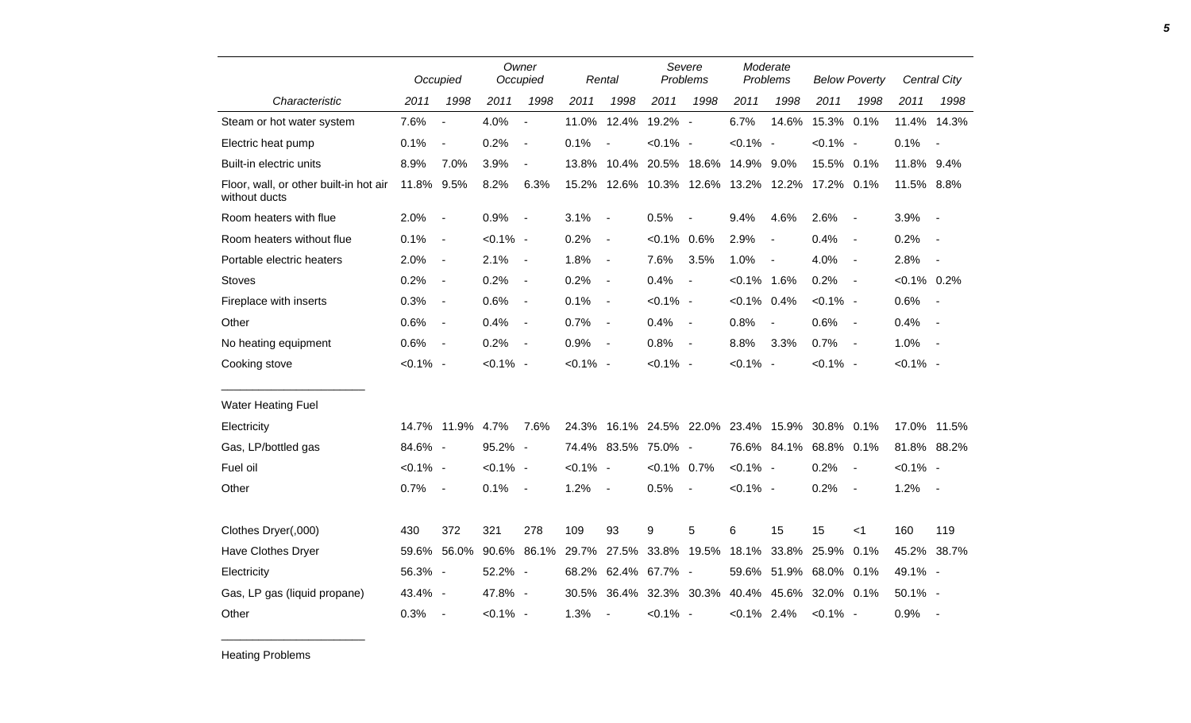|                                                         |             | Occupied                 |             | Owner<br>Occupied        |             | Rental                   |                                          | Severe<br>Problems |                | Moderate<br>Problems     |             | <b>Below Poverty</b>     |                | Central City             |
|---------------------------------------------------------|-------------|--------------------------|-------------|--------------------------|-------------|--------------------------|------------------------------------------|--------------------|----------------|--------------------------|-------------|--------------------------|----------------|--------------------------|
| Characteristic                                          | 2011        | 1998                     | 2011        | 1998                     | 2011        | 1998                     | 2011                                     | 1998               | 2011           | 1998                     | 2011        | 1998                     | 2011           | 1998                     |
| Steam or hot water system                               | 7.6%        | $\overline{a}$           | 4.0%        | $\overline{\phantom{a}}$ |             | 11.0% 12.4%              | 19.2% -                                  |                    | 6.7%           | 14.6%                    | 15.3% 0.1%  |                          |                | 11.4% 14.3%              |
| Electric heat pump                                      | 0.1%        | $\overline{\phantom{a}}$ | 0.2%        | $\blacksquare$           | 0.1%        | $\overline{\phantom{a}}$ | $< 0.1\%$ -                              |                    | $< 0.1\%$ -    |                          | $< 0.1\%$ - |                          | 0.1%           | $\overline{\phantom{a}}$ |
| Built-in electric units                                 | 8.9%        | 7.0%                     | 3.9%        | $\overline{\phantom{a}}$ |             |                          | 13.8% 10.4% 20.5% 18.6% 14.9%            |                    |                | 9.0%                     | 15.5% 0.1%  |                          | 11.8% 9.4%     |                          |
| Floor, wall, or other built-in hot air<br>without ducts | 11.8% 9.5%  |                          | 8.2%        | 6.3%                     | 15.2%       |                          | 12.6% 10.3% 12.6% 13.2% 12.2% 17.2% 0.1% |                    |                |                          |             |                          | 11.5% 8.8%     |                          |
| Room heaters with flue                                  | 2.0%        | $\sim$                   | 0.9%        | $\overline{\phantom{a}}$ | 3.1%        | $\blacksquare$           | 0.5%                                     | $\blacksquare$     | 9.4%           | 4.6%                     | 2.6%        | $\blacksquare$           | 3.9%           | $\overline{\phantom{a}}$ |
| Room heaters without flue                               | 0.1%        | $\sim$                   | $< 0.1\%$ - |                          | 0.2%        | $\overline{\phantom{a}}$ | $< 0.1\%$ 0.6%                           |                    | 2.9%           | $\blacksquare$           | 0.4%        | $\blacksquare$           | 0.2%           | $\overline{\phantom{a}}$ |
| Portable electric heaters                               | 2.0%        | $\blacksquare$           | 2.1%        | $\overline{\phantom{a}}$ | 1.8%        | $\overline{\phantom{a}}$ | 7.6%                                     | 3.5%               | 1.0%           | $\overline{\phantom{a}}$ | 4.0%        | $\blacksquare$           | 2.8%           | $\overline{a}$           |
| <b>Stoves</b>                                           | 0.2%        | $\blacksquare$           | 0.2%        | $\overline{\phantom{a}}$ | 0.2%        | $\overline{\phantom{a}}$ | 0.4%                                     | $\blacksquare$     | $< 0.1\%$ 1.6% |                          | 0.2%        | $\blacksquare$           | $< 0.1\%$ 0.2% |                          |
| Fireplace with inserts                                  | 0.3%        | $\blacksquare$           | 0.6%        | $\overline{\phantom{a}}$ | 0.1%        | $\blacksquare$           | $< 0.1\%$ -                              |                    | $< 0.1\%$ 0.4% |                          | $< 0.1\%$ - |                          | 0.6%           | $\sim$                   |
| Other                                                   | 0.6%        | $\sim$                   | 0.4%        | $\overline{\phantom{a}}$ | 0.7%        | $\overline{\phantom{a}}$ | 0.4%                                     | $\blacksquare$     | 0.8%           | $\overline{\phantom{a}}$ | 0.6%        | $\overline{\phantom{a}}$ | 0.4%           | $\sim$                   |
| No heating equipment                                    | 0.6%        | $\sim$                   | 0.2%        | $\overline{\phantom{a}}$ | 0.9%        | $\overline{\phantom{a}}$ | 0.8%                                     | $\blacksquare$     | 8.8%           | 3.3%                     | 0.7%        | $\overline{\phantom{a}}$ | 1.0%           | $\sim$                   |
| Cooking stove                                           | $< 0.1\%$ - |                          | $< 0.1\%$ - |                          | $< 0.1\%$ - |                          | $< 0.1\%$ -                              |                    | $< 0.1\%$ -    |                          | $< 0.1\%$ - |                          | $< 0.1\%$ -    |                          |
| <b>Water Heating Fuel</b>                               |             |                          |             |                          |             |                          |                                          |                    |                |                          |             |                          |                |                          |
| Electricity                                             |             | 14.7% 11.9% 4.7%         |             | 7.6%                     | 24.3%       |                          | 16.1% 24.5% 22.0% 23.4% 15.9% 30.8% 0.1% |                    |                |                          |             |                          | 17.0% 11.5%    |                          |
| Gas, LP/bottled gas                                     | 84.6% -     |                          | 95.2% -     |                          |             |                          | 74.4% 83.5% 75.0% -                      |                    |                | 76.6% 84.1%              | 68.8% 0.1%  |                          | 81.8% 88.2%    |                          |
| Fuel oil                                                | $< 0.1\%$ - |                          | $< 0.1\%$ - |                          | $< 0.1\%$ - |                          | $< 0.1\%$ 0.7%                           |                    | $< 0.1\%$ -    |                          | 0.2%        | $\blacksquare$           | $< 0.1\%$ -    |                          |
| Other                                                   | 0.7%        | $\sim$                   | 0.1%        | $\sim$                   | 1.2%        | $\overline{\phantom{a}}$ | 0.5%                                     |                    | $< 0.1\%$ -    |                          | 0.2%        | $\blacksquare$           | 1.2%           | $\sim$ $-$               |
| Clothes Dryer(,000)                                     | 430         | 372                      | 321         | 278                      | 109         | 93                       | 9                                        | 5                  | 6              | 15                       | 15          | < 1                      | 160            | 119                      |
| Have Clothes Dryer                                      |             | 59.6% 56.0%              | 90.6%       | 86.1%                    | 29.7%       |                          | 27.5% 33.8% 19.5% 18.1%                  |                    |                | 33.8%                    | 25.9%       | 0.1%                     | 45.2% 38.7%    |                          |
| Electricity                                             | 56.3% -     |                          | 52.2% -     |                          | 68.2%       |                          | 62.4% 67.7% -                            |                    |                | 59.6% 51.9%              | 68.0% 0.1%  |                          | 49.1% -        |                          |
| Gas, LP gas (liquid propane)                            | 43.4% -     |                          | 47.8% -     |                          | 30.5%       |                          | 36.4% 32.3% 30.3% 40.4%                  |                    |                | 45.6%                    | 32.0% 0.1%  |                          | 50.1% -        |                          |
| Other                                                   | 0.3%        | $\sim$                   | $< 0.1\%$ - |                          | 1.3%        | $\overline{\phantom{a}}$ | $< 0.1\%$ -                              |                    | $< 0.1\%$ 2.4% |                          | $< 0.1\%$ - |                          | 0.9%           | $\sim$                   |

Heating Problems

\_\_\_\_\_\_\_\_\_\_\_\_\_\_\_\_\_\_\_\_\_\_\_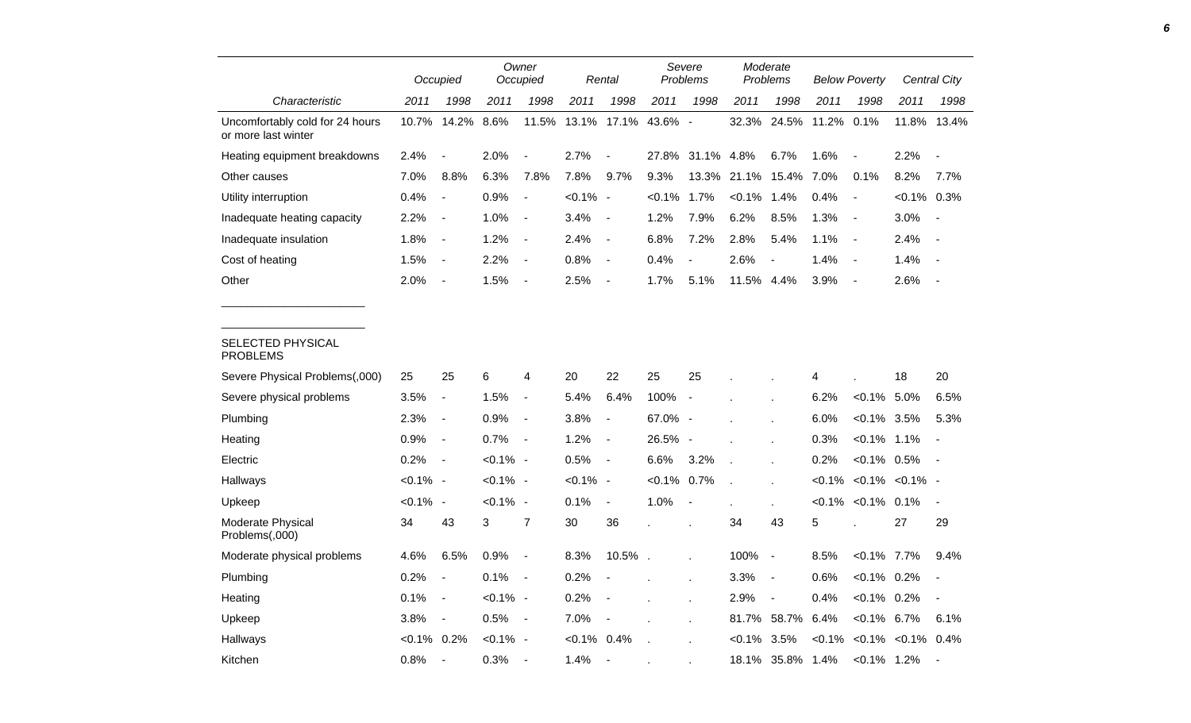|                                                        |                | Occupied                 |             | Owner<br>Occupied        |                | Rental                   |                | Severe<br>Problems       |                   | Moderate<br>Problems     |       | <b>Below Poverty</b>               |                | <b>Central City</b>      |
|--------------------------------------------------------|----------------|--------------------------|-------------|--------------------------|----------------|--------------------------|----------------|--------------------------|-------------------|--------------------------|-------|------------------------------------|----------------|--------------------------|
| Characteristic                                         | 2011           | 1998                     | 2011        | 1998                     | 2011           | 1998                     | 2011           | 1998                     | 2011              | 1998                     | 2011  | 1998                               | 2011           | 1998                     |
| Uncomfortably cold for 24 hours<br>or more last winter | 10.7%          | 14.2%                    | 8.6%        | 11.5%                    |                | 13.1% 17.1%              | 43.6% -        |                          | 32.3%             | 24.5%                    | 11.2% | 0.1%                               | 11.8%          | 13.4%                    |
| Heating equipment breakdowns                           | 2.4%           | $\blacksquare$           | 2.0%        | $\overline{\phantom{a}}$ | 2.7%           | $\overline{\phantom{a}}$ | 27.8%          | 31.1% 4.8%               |                   | 6.7%                     | 1.6%  | $\blacksquare$                     | 2.2%           | $\overline{\phantom{a}}$ |
| Other causes                                           | 7.0%           | 8.8%                     | 6.3%        | 7.8%                     | 7.8%           | 9.7%                     | 9.3%           |                          | 13.3% 21.1% 15.4% |                          | 7.0%  | 0.1%                               | 8.2%           | 7.7%                     |
| Utility interruption                                   | 0.4%           | $\overline{\phantom{a}}$ | 0.9%        | $\overline{\phantom{a}}$ | $< 0.1\%$ -    |                          | $< 0.1\%$      | 1.7%                     | $< 0.1\%$ 1.4%    |                          | 0.4%  | $\overline{\phantom{a}}$           | $< 0.1\%$ 0.3% |                          |
| Inadequate heating capacity                            | 2.2%           | $\blacksquare$           | 1.0%        | $\blacksquare$           | 3.4%           | $\overline{\phantom{a}}$ | 1.2%           | 7.9%                     | 6.2%              | 8.5%                     | 1.3%  | $\blacksquare$                     | 3.0%           | $\overline{\phantom{a}}$ |
| Inadequate insulation                                  | 1.8%           | $\blacksquare$           | 1.2%        | $\blacksquare$           | 2.4%           | $\sim$                   | 6.8%           | 7.2%                     | 2.8%              | 5.4%                     | 1.1%  | $\blacksquare$                     | 2.4%           | $\overline{\phantom{a}}$ |
| Cost of heating                                        | 1.5%           | $\overline{\phantom{a}}$ | 2.2%        | $\overline{a}$           | 0.8%           | $\blacksquare$           | 0.4%           | $\blacksquare$           | 2.6%              | $\overline{\phantom{a}}$ | 1.4%  | $\blacksquare$                     | 1.4%           |                          |
| Other                                                  | 2.0%           | $\overline{\phantom{a}}$ | 1.5%        | $\overline{\phantom{a}}$ | 2.5%           | $\overline{\phantom{a}}$ | 1.7%           | 5.1%                     | 11.5%             | 4.4%                     | 3.9%  | $\overline{\phantom{a}}$           | 2.6%           | $\overline{\phantom{a}}$ |
|                                                        |                |                          |             |                          |                |                          |                |                          |                   |                          |       |                                    |                |                          |
| SELECTED PHYSICAL<br><b>PROBLEMS</b>                   |                |                          |             |                          |                |                          |                |                          |                   |                          |       |                                    |                |                          |
| Severe Physical Problems(,000)                         | 25             | 25                       | 6           | 4                        | 20             | 22                       | 25             | 25                       |                   |                          | 4     |                                    | 18             | 20                       |
| Severe physical problems                               | 3.5%           | $\blacksquare$           | 1.5%        | $\blacksquare$           | 5.4%           | 6.4%                     | 100%           | $\overline{\phantom{a}}$ |                   |                          | 6.2%  | $< 0.1\%$                          | 5.0%           | 6.5%                     |
| Plumbing                                               | 2.3%           | $\overline{\phantom{a}}$ | 0.9%        | $\blacksquare$           | 3.8%           | $\blacksquare$           | 67.0% -        |                          |                   |                          | 6.0%  | $< 0.1\%$                          | 3.5%           | 5.3%                     |
| Heating                                                | 0.9%           | $\blacksquare$           | 0.7%        | $\blacksquare$           | 1.2%           | $\blacksquare$           | 26.5% -        |                          |                   |                          | 0.3%  | $< 0.1\%$ 1.1%                     |                | $\blacksquare$           |
| Electric                                               | 0.2%           | $\sim$                   | $< 0.1\%$ - |                          | 0.5%           | $\sim$                   | 6.6%           | 3.2%                     | $\overline{a}$    |                          | 0.2%  | $< 0.1\%$                          | 0.5%           | $\blacksquare$           |
| Hallways                                               | $< 0.1\%$ -    |                          | $< 0.1\%$ - |                          | $< 0.1\%$ -    |                          | $< 0.1\%$ 0.7% |                          | l.                |                          |       | $< 0.1\%$ $< 0.1\%$ $< 0.1\%$ -    |                |                          |
| Upkeep                                                 | $< 0.1\%$ -    |                          | $< 0.1\%$ - |                          | 0.1%           | $\blacksquare$           | 1.0%           | $\overline{\phantom{a}}$ |                   |                          |       | $< 0.1\%$ < 0.1% 0.1%              |                | $\blacksquare$           |
| Moderate Physical<br>Problems(,000)                    | 34             | 43                       | 3           | $\overline{7}$           | 30             | 36                       |                |                          | 34                | 43                       | 5     |                                    | 27             | 29                       |
| Moderate physical problems                             | 4.6%           | 6.5%                     | 0.9%        | $\overline{\phantom{a}}$ | 8.3%           | 10.5%.                   |                |                          | 100%              | $\blacksquare$           | 8.5%  | $< 0.1\%$ 7.7%                     |                | 9.4%                     |
| Plumbing                                               | 0.2%           | $\blacksquare$           | 0.1%        | $\blacksquare$           | 0.2%           |                          |                |                          | 3.3%              | $\blacksquare$           | 0.6%  | $< 0.1\%$                          | $0.2\%$        | $\overline{\phantom{a}}$ |
| Heating                                                | 0.1%           | $\blacksquare$           | $< 0.1\%$ - |                          | 0.2%           | $\overline{\phantom{a}}$ |                | ÷.                       | 2.9%              | $\overline{a}$           | 0.4%  | $< 0.1\%$                          | 0.2%           | $\overline{\phantom{a}}$ |
| Upkeep                                                 | 3.8%           | $\blacksquare$           | 0.5%        | $\overline{\phantom{a}}$ | 7.0%           | $\overline{\phantom{a}}$ |                |                          | 81.7%             | 58.7%                    | 6.4%  | $< 0.1\%$                          | 6.7%           | 6.1%                     |
| Hallways                                               | $< 0.1\%$ 0.2% |                          | $< 0.1\%$ - |                          | $< 0.1\%$ 0.4% |                          |                |                          | $< 0.1\%$ 3.5%    |                          |       | $< 0.1\%$ $< 0.1\%$ $< 0.1\%$ 0.4% |                |                          |
| Kitchen                                                | 0.8%           | $\overline{\phantom{a}}$ | 0.3%        |                          | 1.4%           | $\sim$                   |                |                          |                   | 18.1% 35.8% 1.4%         |       | $< 0.1\%$ 1.2%                     |                | $\overline{\phantom{a}}$ |